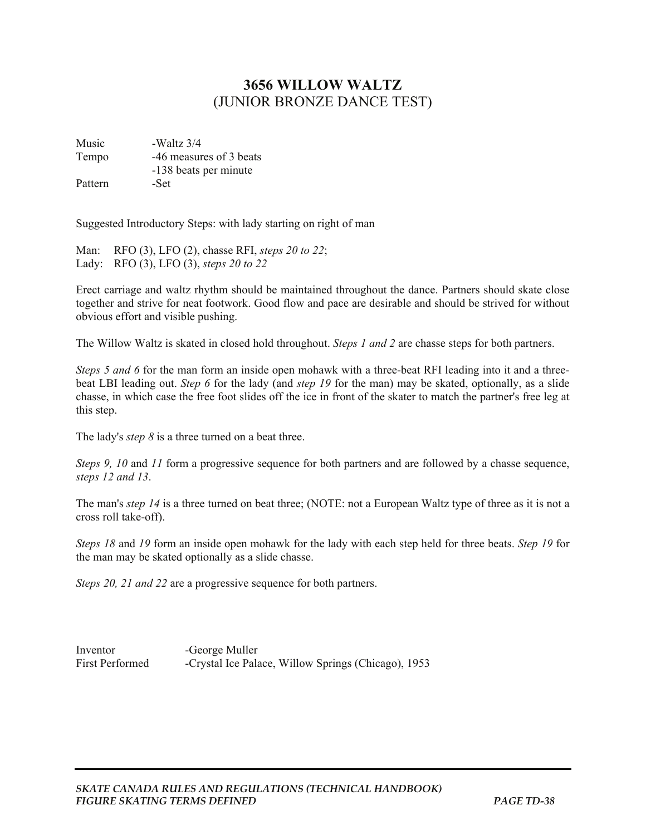## **3656 WILLOW WALTZ**  (JUNIOR BRONZE DANCE TEST)

Music - Waltz 3/4 Tempo -46 measures of 3 beats -138 beats per minute Pattern -Set

Suggested Introductory Steps: with lady starting on right of man

Man: RFO (3), LFO (2), chasse RFI, *steps 20 to 22*; Lady: RFO (3), LFO (3), *steps 20 to 22*

Erect carriage and waltz rhythm should be maintained throughout the dance. Partners should skate close together and strive for neat footwork. Good flow and pace are desirable and should be strived for without obvious effort and visible pushing.

The Willow Waltz is skated in closed hold throughout. *Steps 1 and 2* are chasse steps for both partners.

*Steps 5 and 6* for the man form an inside open mohawk with a three-beat RFI leading into it and a threebeat LBI leading out. *Step 6* for the lady (and *step 19* for the man) may be skated, optionally, as a slide chasse, in which case the free foot slides off the ice in front of the skater to match the partner's free leg at this step.

The lady's *step 8* is a three turned on a beat three.

*Steps 9, 10* and *11* form a progressive sequence for both partners and are followed by a chasse sequence, *steps 12 and 13*.

The man's *step 14* is a three turned on beat three; (NOTE: not a European Waltz type of three as it is not a cross roll take-off).

*Steps 18* and *19* form an inside open mohawk for the lady with each step held for three beats. *Step 19* for the man may be skated optionally as a slide chasse.

*Steps 20, 21 and 22* are a progressive sequence for both partners.

Inventor -George Muller First Performed -Crystal Ice Palace, Willow Springs (Chicago), 1953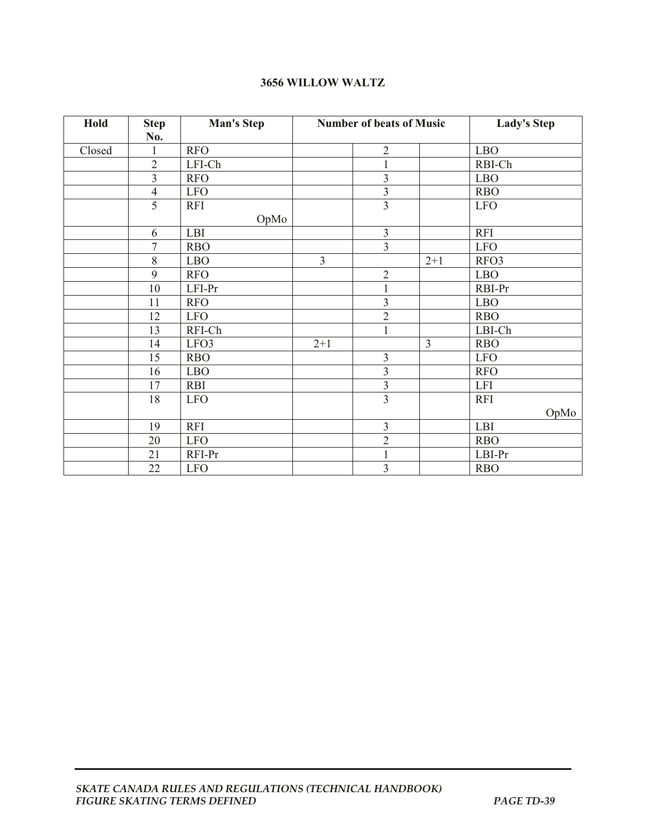## **3656 WILLOW WALTZ**

| Hold   | <b>Step</b><br>No.<br>1 | <b>Man's Step</b><br><b>RFO</b> | <b>Number of beats of Music</b> |                         |                | <b>Lady's Step</b> |  |
|--------|-------------------------|---------------------------------|---------------------------------|-------------------------|----------------|--------------------|--|
| Closed |                         |                                 |                                 | $\overline{2}$          |                | <b>LBO</b>         |  |
|        | $\overline{c}$          | LFI-Ch                          |                                 | $\mathbf{1}$            |                | RBI-Ch             |  |
|        | $\overline{\mathbf{3}}$ |                                 |                                 |                         |                |                    |  |
|        |                         | <b>RFO</b>                      |                                 | $\overline{3}$          |                | <b>LBO</b>         |  |
|        | $\overline{4}$          | <b>LFO</b>                      |                                 | $\mathfrak{Z}$          |                | <b>RBO</b>         |  |
|        | $\overline{5}$          | <b>RFI</b>                      |                                 | $\overline{\mathbf{3}}$ |                | <b>LFO</b>         |  |
|        |                         | OpMo                            |                                 |                         |                |                    |  |
|        | 6                       | LBI                             |                                 | $\mathfrak{Z}$          |                | <b>RFI</b>         |  |
|        | $\overline{7}$          | <b>RBO</b>                      |                                 | 3                       |                | <b>LFO</b>         |  |
|        | 8                       | <b>LBO</b>                      | $\overline{3}$                  |                         | $2 + 1$        | RFO3               |  |
|        | $\overline{9}$          | <b>RFO</b>                      |                                 | $\overline{2}$          |                | <b>LBO</b>         |  |
|        | 10                      | LFI-Pr                          |                                 | $\mathbf{1}$            |                | RBI-Pr             |  |
|        | 11                      | <b>RFO</b>                      |                                 | 3                       |                | <b>LBO</b>         |  |
|        | 12                      | <b>LFO</b>                      |                                 | $\overline{2}$          |                | <b>RBO</b>         |  |
|        | 13                      | RFI-Ch                          |                                 | $\mathbf{1}$            |                | LBI-Ch             |  |
|        | 14                      | LFO3                            | $2+1$                           |                         | $\overline{3}$ | <b>RBO</b>         |  |
|        | 15                      | <b>RBO</b>                      |                                 | $\mathfrak{Z}$          |                | <b>LFO</b>         |  |
|        | 16                      | ${\rm LBO}$                     |                                 | $\overline{\mathbf{3}}$ |                | <b>RFO</b>         |  |
|        | 17                      | <b>RBI</b>                      |                                 | 3                       |                | <b>LFI</b>         |  |
|        | 18                      | <b>LFO</b>                      |                                 | $\overline{3}$          |                | <b>RFI</b>         |  |
|        |                         |                                 |                                 |                         |                | OpMo               |  |
|        | 19                      | <b>RFI</b>                      |                                 | 3                       |                | LBI                |  |
|        | 20                      | <b>LFO</b>                      |                                 | $\overline{2}$          |                | <b>RBO</b>         |  |
|        | 21                      | RFI-Pr                          |                                 | $\mathbf{1}$            |                | LBI-Pr             |  |
|        | 22                      | <b>LFO</b>                      |                                 | $\overline{\mathbf{3}}$ |                | <b>RBO</b>         |  |